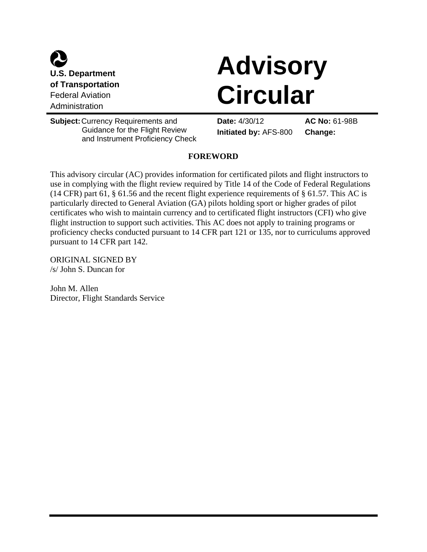

# **Advisory Circular**

**Subject:**Currency Requirements and Guidance for the Flight Review and Instrument Proficiency Check

**Date:** 4/30/12 **Initiated by:** AFS-800

**AC No:** 61-98B **Change:** 

# **FOREWORD**

This advisory circular (AC) provides information for certificated pilots and flight instructors to use in complying with the flight review required by Title 14 of the Code of Federal Regulations (14 CFR) part 61,  $\S$  61.56 and the recent flight experience requirements of  $\S$  61.57. This AC is particularly directed to General Aviation (GA) pilots holding sport or higher grades of pilot certificates who wish to maintain currency and to certificated flight instructors (CFI) who give flight instruction to support such activities. This AC does not apply to training programs or proficiency checks conducted pursuant to 14 CFR part 121 or 135, nor to curriculums approved pursuant to 14 CFR part 142.

ORIGINAL SIGNED BY /s/ John S. Duncan for

John M. Allen Director, Flight Standards Service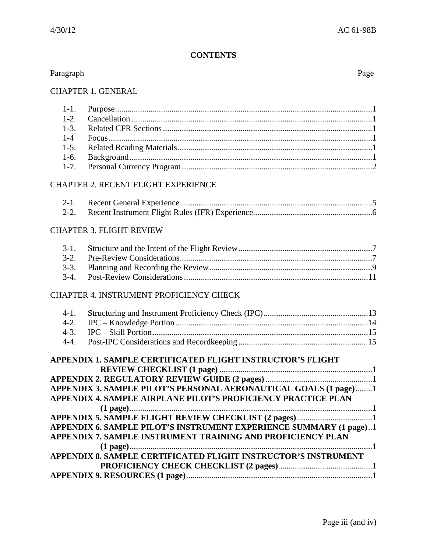# **CONTENTS**

| Paragraph | Page |
|-----------|------|
|           |      |
|           |      |

| $1-1.$    |                                                                           |  |
|-----------|---------------------------------------------------------------------------|--|
| $1-2.$    |                                                                           |  |
| $1-3.$    |                                                                           |  |
| $1-4$     |                                                                           |  |
| $1-5.$    |                                                                           |  |
| $1-6.$    |                                                                           |  |
| $1 - 7.$  |                                                                           |  |
|           | CHAPTER 2. RECENT FLIGHT EXPERIENCE                                       |  |
| $2-1.$    |                                                                           |  |
| $2 - 2$ . |                                                                           |  |
|           | <b>CHAPTER 3. FLIGHT REVIEW</b>                                           |  |
| $3-1.$    |                                                                           |  |
| $3-2.$    |                                                                           |  |
| $3-3.$    |                                                                           |  |
| $3-4.$    |                                                                           |  |
|           | CHAPTER 4. INSTRUMENT PROFICIENCY CHECK                                   |  |
| $4-1.$    |                                                                           |  |
| $4-2.$    |                                                                           |  |
| $4-3.$    |                                                                           |  |
| $4-4.$    |                                                                           |  |
|           | APPENDIX 1. SAMPLE CERTIFICATED FLIGHT INSTRUCTOR'S FLIGHT                |  |
|           |                                                                           |  |
|           | APPENDIX 3. SAMPLE PILOT'S PERSONAL AERONAUTICAL GOALS (1 page)1          |  |
|           | APPENDIX 4. SAMPLE AIRPLANE PILOT'S PROFICIENCY PRACTICE PLAN             |  |
|           |                                                                           |  |
|           |                                                                           |  |
|           | <b>APPENDIX 6. SAMPLE PILOT'S INSTRUMENT EXPERIENCE SUMMARY (1 page)1</b> |  |
|           | APPENDIX 7. SAMPLE INSTRUMENT TRAINING AND PROFICIENCY PLAN               |  |
|           |                                                                           |  |
|           | APPENDIX 8. SAMPLE CERTIFICATED FLIGHT INSTRUCTOR'S INSTRUMENT            |  |
|           |                                                                           |  |
|           |                                                                           |  |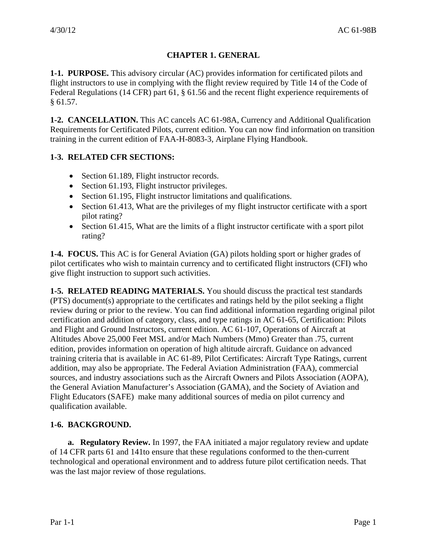# **CHAPTER 1. GENERAL**

**1-1. PURPOSE.** This advisory circular (AC) provides information for certificated pilots and flight instructors to use in complying with the flight review required by Title 14 of the Code of Federal Regulations (14 CFR) part 61, § 61.56 and the recent flight experience requirements of § 61.57.

**1-2. CANCELLATION.** This AC cancels AC 61-98A, Currency and Additional Qualification Requirements for Certificated Pilots, current edition. You can now find information on transition training in the current edition of FAA-H-8083-3, Airplane Flying Handbook.

# **1-3. RELATED CFR SECTIONS:**

- Section 61.189, Flight instructor records.
- Section 61.193, Flight instructor privileges.
- Section 61.195, Flight instructor limitations and qualifications.
- Section 61.413, What are the privileges of my flight instructor certificate with a sport pilot rating?
- Section 61.415, What are the limits of a flight instructor certificate with a sport pilot rating?

**1-4. FOCUS.** This AC is for General Aviation (GA) pilots holding sport or higher grades of pilot certificates who wish to maintain currency and to certificated flight instructors (CFI) who give flight instruction to support such activities.

**1-5. RELATED READING MATERIALS.** You should discuss the practical test standards (PTS) document(s) appropriate to the certificates and ratings held by the pilot seeking a flight review during or prior to the review. You can find additional information regarding original pilot certification and addition of category, class, and type ratings in AC 61-65, Certification: Pilots and Flight and Ground Instructors, current edition. AC 61-107, Operations of Aircraft at Altitudes Above 25,000 Feet MSL and/or Mach Numbers (Mmo) Greater than .75, current edition, provides information on operation of high altitude aircraft. Guidance on advanced training criteria that is available in AC 61-89, Pilot Certificates: Aircraft Type Ratings, current addition, may also be appropriate. The Federal Aviation Administration (FAA), commercial sources, and industry associations such as the Aircraft Owners and Pilots Association (AOPA), the General Aviation Manufacturer's Association (GAMA), and the Society of Aviation and Flight Educators (SAFE) make many additional sources of media on pilot currency and qualification available.

# **1-6. BACKGROUND.**

**a. Regulatory Review.** In 1997, the FAA initiated a major regulatory review and update of 14 CFR parts 61 and 141to ensure that these regulations conformed to the then-current technological and operational environment and to address future pilot certification needs. That was the last major review of those regulations.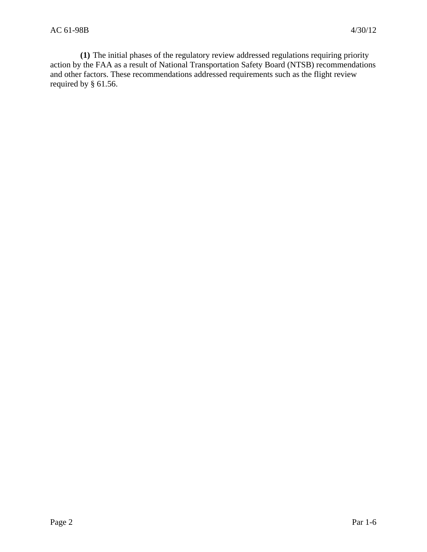**(1)** The initial phases of the regulatory review addressed regulations requiring priority action by the FAA as a result of National Transportation Safety Board (NTSB) recommendations and other factors. These recommendations addressed requirements such as the flight review required by § 61.56.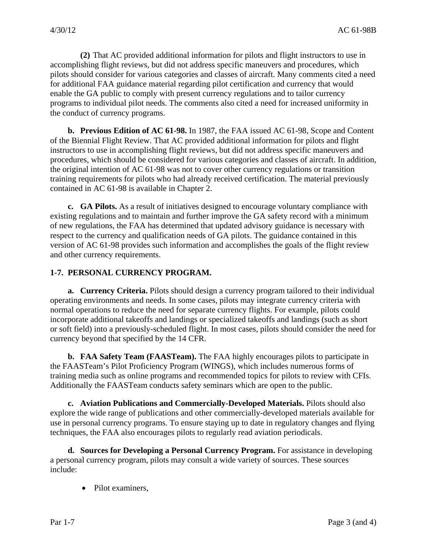**(2)** That AC provided additional information for pilots and flight instructors to use in accomplishing flight reviews, but did not address specific maneuvers and procedures, which pilots should consider for various categories and classes of aircraft. Many comments cited a need for additional FAA guidance material regarding pilot certification and currency that would enable the GA public to comply with present currency regulations and to tailor currency programs to individual pilot needs. The comments also cited a need for increased uniformity in the conduct of currency programs.

**b. Previous Edition of AC 61-98.** In 1987, the FAA issued AC 61-98, Scope and Content of the Biennial Flight Review. That AC provided additional information for pilots and flight instructors to use in accomplishing flight reviews, but did not address specific maneuvers and procedures, which should be considered for various categories and classes of aircraft. In addition, the original intention of AC 61-98 was not to cover other currency regulations or transition training requirements for pilots who had already received certification. The material previously contained in AC 61-98 is available in Chapter 2.

**c. GA Pilots.** As a result of initiatives designed to encourage voluntary compliance with existing regulations and to maintain and further improve the GA safety record with a minimum of new regulations, the FAA has determined that updated advisory guidance is necessary with respect to the currency and qualification needs of GA pilots. The guidance contained in this version of AC 61-98 provides such information and accomplishes the goals of the flight review and other currency requirements.

# **1-7. PERSONAL CURRENCY PROGRAM.**

**a. Currency Criteria.** Pilots should design a currency program tailored to their individual operating environments and needs. In some cases, pilots may integrate currency criteria with normal operations to reduce the need for separate currency flights. For example, pilots could incorporate additional takeoffs and landings or specialized takeoffs and landings (such as short or soft field) into a previously-scheduled flight. In most cases, pilots should consider the need for currency beyond that specified by the 14 CFR.

**b. FAA Safety Team (FAASTeam).** The FAA highly encourages pilots to participate in the FAASTeam's Pilot Proficiency Program (WINGS), which includes numerous forms of training media such as online programs and recommended topics for pilots to review with CFIs. Additionally the FAASTeam conducts safety seminars which are open to the public.

**c. Aviation Publications and Commercially-Developed Materials.** Pilots should also explore the wide range of publications and other commercially-developed materials available for use in personal currency programs. To ensure staying up to date in regulatory changes and flying techniques, the FAA also encourages pilots to regularly read aviation periodicals.

**d. Sources for Developing a Personal Currency Program.** For assistance in developing a personal currency program, pilots may consult a wide variety of sources. These sources include:

• Pilot examiners.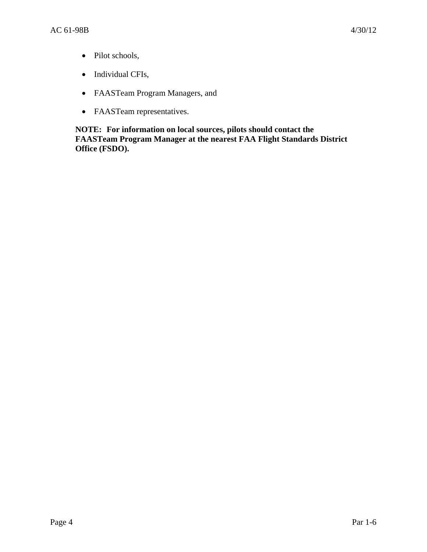- Pilot schools,
- Individual CFIs,
- FAASTeam Program Managers, and
- FAASTeam representatives.

**NOTE: For information on local sources, pilots should contact the FAASTeam Program Manager at the nearest FAA Flight Standards District Office (FSDO).**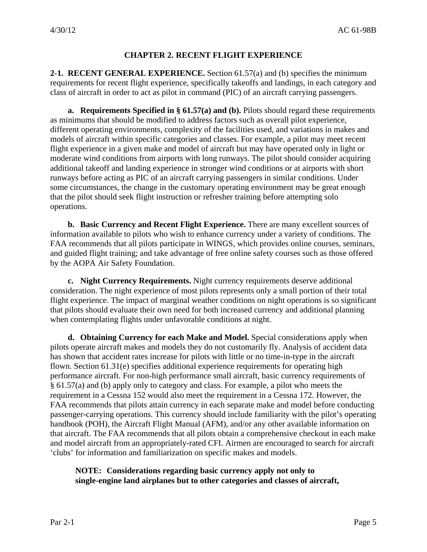## **CHAPTER 2. RECENT FLIGHT EXPERIENCE**

**2-1. RECENT GENERAL EXPERIENCE.** Section 61.57(a) and (b) specifies the minimum requirements for recent flight experience, specifically takeoffs and landings, in each category and class of aircraft in order to act as pilot in command (PIC) of an aircraft carrying passengers.

**a. Requirements Specified in § 61.57(a) and (b).** Pilots should regard these requirements as minimums that should be modified to address factors such as overall pilot experience, different operating environments, complexity of the facilities used, and variations in makes and models of aircraft within specific categories and classes. For example, a pilot may meet recent flight experience in a given make and model of aircraft but may have operated only in light or moderate wind conditions from airports with long runways. The pilot should consider acquiring additional takeoff and landing experience in stronger wind conditions or at airports with short runways before acting as PIC of an aircraft carrying passengers in similar conditions. Under some circumstances, the change in the customary operating environment may be great enough that the pilot should seek flight instruction or refresher training before attempting solo operations.

**b. Basic Currency and Recent Flight Experience.** There are many excellent sources of information available to pilots who wish to enhance currency under a variety of conditions. The FAA recommends that all pilots participate in WINGS, which provides online courses, seminars, and guided flight training; and take advantage of free online safety courses such as those offered by the AOPA Air Safety Foundation.

**c. Night Currency Requirements.** Night currency requirements deserve additional consideration. The night experience of most pilots represents only a small portion of their total flight experience. The impact of marginal weather conditions on night operations is so significant that pilots should evaluate their own need for both increased currency and additional planning when contemplating flights under unfavorable conditions at night.

**d. Obtaining Currency for each Make and Model.** Special considerations apply when pilots operate aircraft makes and models they do not customarily fly. Analysis of accident data has shown that accident rates increase for pilots with little or no time-in-type in the aircraft flown. Section 61.31(e) specifies additional experience requirements for operating high performance aircraft. For non-high performance small aircraft, basic currency requirements of § 61.57(a) and (b) apply only to category and class. For example, a pilot who meets the requirement in a Cessna 152 would also meet the requirement in a Cessna 172. However, the FAA recommends that pilots attain currency in each separate make and model before conducting passenger-carrying operations. This currency should include familiarity with the pilot's operating handbook (POH), the Aircraft Flight Manual (AFM), and/or any other available information on that aircraft. The FAA recommends that all pilots obtain a comprehensive checkout in each make and model aircraft from an appropriately-rated CFI. Airmen are encouraged to search for aircraft 'clubs' for information and familiarization on specific makes and models.

# **NOTE: Considerations regarding basic currency apply not only to single-engine land airplanes but to other categories and classes of aircraft,**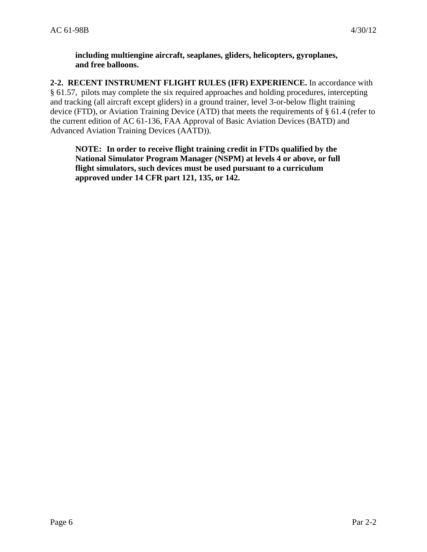**including multiengine aircraft, seaplanes, gliders, helicopters, gyroplanes, and free balloons.** 

**2-2. RECENT INSTRUMENT FLIGHT RULES (IFR) EXPERIENCE.** In accordance with § 61.57, pilots may complete the six required approaches and holding procedures, intercepting and tracking (all aircraft except gliders) in a ground trainer, level 3-or-below flight training device (FTD), or Aviation Training Device (ATD) that meets the requirements of § 61.4 (refer to the current edition of AC 61-136, FAA Approval of Basic Aviation Devices (BATD) and Advanced Aviation Training Devices (AATD)).

**NOTE: In order to receive flight training credit in FTDs qualified by the National Simulator Program Manager (NSPM) at levels 4 or above, or full flight simulators, such devices must be used pursuant to a curriculum approved under 14 CFR part 121, 135, or 142.**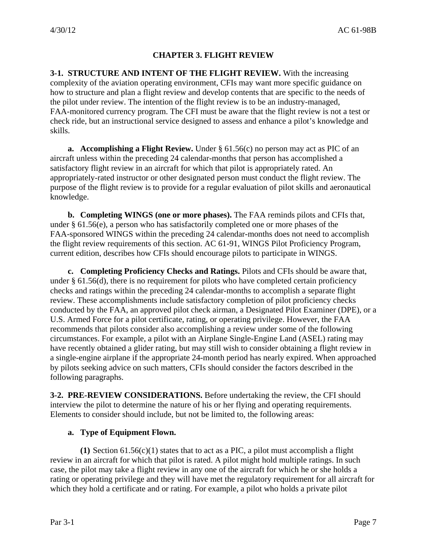# **CHAPTER 3. FLIGHT REVIEW**

**3-1. STRUCTURE AND INTENT OF THE FLIGHT REVIEW.** With the increasing complexity of the aviation operating environment, CFIs may want more specific guidance on how to structure and plan a flight review and develop contents that are specific to the needs of the pilot under review. The intention of the flight review is to be an industry-managed, FAA-monitored currency program. The CFI must be aware that the flight review is not a test or check ride, but an instructional service designed to assess and enhance a pilot's knowledge and skills.

**a. Accomplishing a Flight Review.** Under § 61.56(c) no person may act as PIC of an aircraft unless within the preceding 24 calendar-months that person has accomplished a satisfactory flight review in an aircraft for which that pilot is appropriately rated. An appropriately-rated instructor or other designated person must conduct the flight review. The purpose of the flight review is to provide for a regular evaluation of pilot skills and aeronautical knowledge.

**b. Completing WINGS (one or more phases).** The FAA reminds pilots and CFIs that, under § 61.56(e), a person who has satisfactorily completed one or more phases of the FAA-sponsored WINGS within the preceding 24 calendar-months does not need to accomplish the flight review requirements of this section. AC 61-91, WINGS Pilot Proficiency Program, current edition, describes how CFIs should encourage pilots to participate in WINGS.

**c. Completing Proficiency Checks and Ratings.** Pilots and CFIs should be aware that, under § 61.56(d), there is no requirement for pilots who have completed certain proficiency checks and ratings within the preceding 24 calendar-months to accomplish a separate flight review. These accomplishments include satisfactory completion of pilot proficiency checks conducted by the FAA, an approved pilot check airman, a Designated Pilot Examiner (DPE), or a U.S. Armed Force for a pilot certificate, rating, or operating privilege. However, the FAA recommends that pilots consider also accomplishing a review under some of the following circumstances. For example, a pilot with an Airplane Single-Engine Land (ASEL) rating may have recently obtained a glider rating, but may still wish to consider obtaining a flight review in a single-engine airplane if the appropriate 24-month period has nearly expired. When approached by pilots seeking advice on such matters, CFIs should consider the factors described in the following paragraphs.

**3-2. PRE-REVIEW CONSIDERATIONS.** Before undertaking the review, the CFI should interview the pilot to determine the nature of his or her flying and operating requirements. Elements to consider should include, but not be limited to, the following areas:

#### **a. Type of Equipment Flown.**

**(1)** Section 61.56(c)(1) states that to act as a PIC, a pilot must accomplish a flight review in an aircraft for which that pilot is rated. A pilot might hold multiple ratings. In such case, the pilot may take a flight review in any one of the aircraft for which he or she holds a rating or operating privilege and they will have met the regulatory requirement for all aircraft for which they hold a certificate and or rating. For example, a pilot who holds a private pilot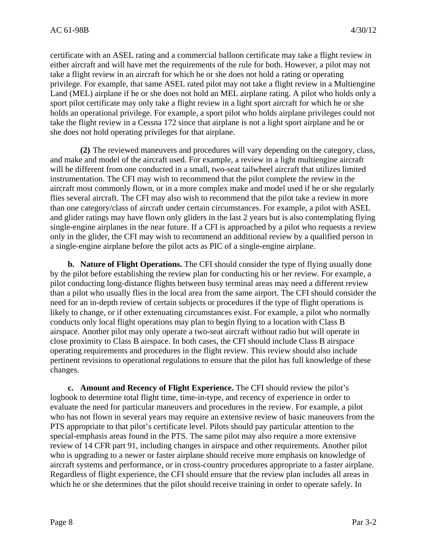certificate with an ASEL rating and a commercial balloon certificate may take a flight review in either aircraft and will have met the requirements of the rule for both. However, a pilot may not take a flight review in an aircraft for which he or she does not hold a rating or operating privilege. For example, that same ASEL rated pilot may not take a flight review in a Multiengine Land (MEL) airplane if he or she does not hold an MEL airplane rating. A pilot who holds only a sport pilot certificate may only take a flight review in a light sport aircraft for which he or she holds an operational privilege. For example, a sport pilot who holds airplane privileges could not take the flight review in a Cessna 172 since that airplane is not a light sport airplane and he or she does not hold operating privileges for that airplane.

**(2)** The reviewed maneuvers and procedures will vary depending on the category, class, and make and model of the aircraft used. For example, a review in a light multiengine aircraft will be different from one conducted in a small, two-seat tailwheel aircraft that utilizes limited instrumentation. The CFI may wish to recommend that the pilot complete the review in the aircraft most commonly flown, or in a more complex make and model used if he or she regularly flies several aircraft. The CFI may also wish to recommend that the pilot take a review in more than one category/class of aircraft under certain circumstances. For example, a pilot with ASEL and glider ratings may have flown only gliders in the last 2 years but is also contemplating flying single-engine airplanes in the near future. If a CFI is approached by a pilot who requests a review only in the glider, the CFI may wish to recommend an additional review by a qualified person in a single-engine airplane before the pilot acts as PIC of a single-engine airplane.

**b. Nature of Flight Operations.** The CFI should consider the type of flying usually done by the pilot before establishing the review plan for conducting his or her review. For example, a pilot conducting long-distance flights between busy terminal areas may need a different review than a pilot who usually flies in the local area from the same airport. The CFI should consider the need for an in-depth review of certain subjects or procedures if the type of flight operations is likely to change, or if other extenuating circumstances exist. For example, a pilot who normally conducts only local flight operations may plan to begin flying to a location with Class B airspace. Another pilot may only operate a two-seat aircraft without radio but will operate in close proximity to Class B airspace. In both cases, the CFI should include Class B airspace operating requirements and procedures in the flight review. This review should also include pertinent revisions to operational regulations to ensure that the pilot has full knowledge of these changes.

**c. Amount and Recency of Flight Experience.** The CFI should review the pilot's logbook to determine total flight time, time-in-type, and recency of experience in order to evaluate the need for particular maneuvers and procedures in the review. For example, a pilot who has not flown in several years may require an extensive review of basic maneuvers from the PTS appropriate to that pilot's certificate level. Pilots should pay particular attention to the special-emphasis areas found in the PTS. The same pilot may also require a more extensive review of 14 CFR part 91, including changes in airspace and other requirements. Another pilot who is upgrading to a newer or faster airplane should receive more emphasis on knowledge of aircraft systems and performance, or in cross-country procedures appropriate to a faster airplane. Regardless of flight experience, the CFI should ensure that the review plan includes all areas in which he or she determines that the pilot should receive training in order to operate safely. In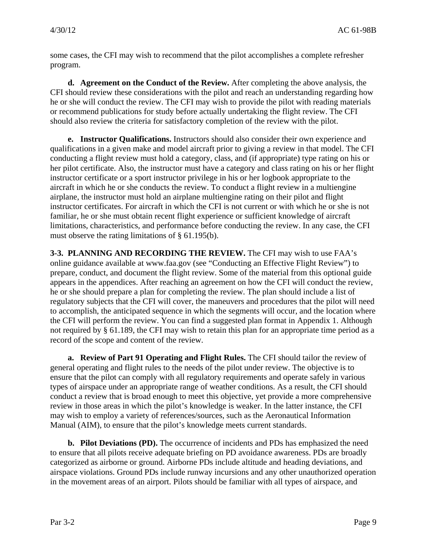some cases, the CFI may wish to recommend that the pilot accomplishes a complete refresher program.

**d. Agreement on the Conduct of the Review.** After completing the above analysis, the CFI should review these considerations with the pilot and reach an understanding regarding how he or she will conduct the review. The CFI may wish to provide the pilot with reading materials or recommend publications for study before actually undertaking the flight review. The CFI should also review the criteria for satisfactory completion of the review with the pilot.

**e. Instructor Qualifications.** Instructors should also consider their own experience and qualifications in a given make and model aircraft prior to giving a review in that model. The CFI conducting a flight review must hold a category, class, and (if appropriate) type rating on his or her pilot certificate. Also, the instructor must have a category and class rating on his or her flight instructor certificate or a sport instructor privilege in his or her logbook appropriate to the aircraft in which he or she conducts the review. To conduct a flight review in a multiengine airplane, the instructor must hold an airplane multiengine rating on their pilot and flight instructor certificates. For aircraft in which the CFI is not current or with which he or she is not familiar, he or she must obtain recent flight experience or sufficient knowledge of aircraft limitations, characteristics, and performance before conducting the review. In any case, the CFI must observe the rating limitations of § 61.195(b).

**3-3. PLANNING AND RECORDING THE REVIEW.** The CFI may wish to use FAA's online guidance available at www.faa.gov (see "Conducting an Effective Flight Review") to prepare, conduct, and document the flight review. Some of the material from this optional guide appears in the appendices. After reaching an agreement on how the CFI will conduct the review, he or she should prepare a plan for completing the review. The plan should include a list of regulatory subjects that the CFI will cover, the maneuvers and procedures that the pilot will need to accomplish, the anticipated sequence in which the segments will occur, and the location where the CFI will perform the review. You can find a suggested plan format in Appendix 1. Although not required by § 61.189, the CFI may wish to retain this plan for an appropriate time period as a record of the scope and content of the review.

**a. Review of Part 91 Operating and Flight Rules.** The CFI should tailor the review of general operating and flight rules to the needs of the pilot under review. The objective is to ensure that the pilot can comply with all regulatory requirements and operate safely in various types of airspace under an appropriate range of weather conditions. As a result, the CFI should conduct a review that is broad enough to meet this objective, yet provide a more comprehensive review in those areas in which the pilot's knowledge is weaker. In the latter instance, the CFI may wish to employ a variety of references/sources, such as the Aeronautical Information Manual (AIM), to ensure that the pilot's knowledge meets current standards.

**b. Pilot Deviations (PD).** The occurrence of incidents and PDs has emphasized the need to ensure that all pilots receive adequate briefing on PD avoidance awareness. PDs are broadly categorized as airborne or ground. Airborne PDs include altitude and heading deviations, and airspace violations. Ground PDs include runway incursions and any other unauthorized operation in the movement areas of an airport. Pilots should be familiar with all types of airspace, and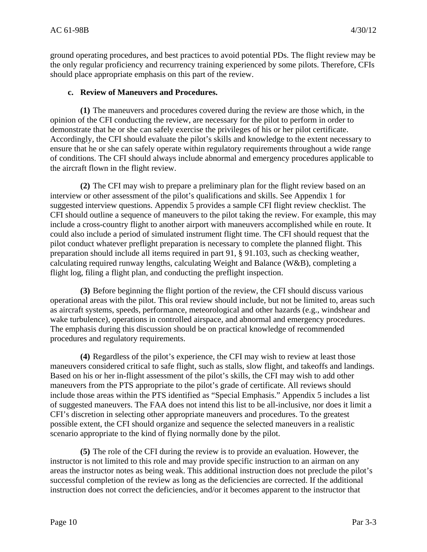ground operating procedures, and best practices to avoid potential PDs. The flight review may be the only regular proficiency and recurrency training experienced by some pilots. Therefore, CFIs should place appropriate emphasis on this part of the review.

## **c. Review of Maneuvers and Procedures.**

**(1)** The maneuvers and procedures covered during the review are those which, in the opinion of the CFI conducting the review, are necessary for the pilot to perform in order to demonstrate that he or she can safely exercise the privileges of his or her pilot certificate. Accordingly, the CFI should evaluate the pilot's skills and knowledge to the extent necessary to ensure that he or she can safely operate within regulatory requirements throughout a wide range of conditions. The CFI should always include abnormal and emergency procedures applicable to the aircraft flown in the flight review.

**(2)** The CFI may wish to prepare a preliminary plan for the flight review based on an interview or other assessment of the pilot's qualifications and skills. See Appendix 1 for suggested interview questions. Appendix 5 provides a sample CFI flight review checklist. The CFI should outline a sequence of maneuvers to the pilot taking the review. For example, this may include a cross-country flight to another airport with maneuvers accomplished while en route. It could also include a period of simulated instrument flight time. The CFI should request that the pilot conduct whatever preflight preparation is necessary to complete the planned flight. This preparation should include all items required in part 91, § 91.103, such as checking weather, calculating required runway lengths, calculating Weight and Balance (W&B), completing a flight log, filing a flight plan, and conducting the preflight inspection.

**(3)** Before beginning the flight portion of the review, the CFI should discuss various operational areas with the pilot. This oral review should include, but not be limited to, areas such as aircraft systems, speeds, performance, meteorological and other hazards (e.g., windshear and wake turbulence), operations in controlled airspace, and abnormal and emergency procedures. The emphasis during this discussion should be on practical knowledge of recommended procedures and regulatory requirements.

**(4)** Regardless of the pilot's experience, the CFI may wish to review at least those maneuvers considered critical to safe flight, such as stalls, slow flight, and takeoffs and landings. Based on his or her in-flight assessment of the pilot's skills, the CFI may wish to add other maneuvers from the PTS appropriate to the pilot's grade of certificate. All reviews should include those areas within the PTS identified as "Special Emphasis." Appendix 5 includes a list of suggested maneuvers. The FAA does not intend this list to be all-inclusive, nor does it limit a CFI's discretion in selecting other appropriate maneuvers and procedures. To the greatest possible extent, the CFI should organize and sequence the selected maneuvers in a realistic scenario appropriate to the kind of flying normally done by the pilot.

**(5)** The role of the CFI during the review is to provide an evaluation. However, the instructor is not limited to this role and may provide specific instruction to an airman on any areas the instructor notes as being weak. This additional instruction does not preclude the pilot's successful completion of the review as long as the deficiencies are corrected. If the additional instruction does not correct the deficiencies, and/or it becomes apparent to the instructor that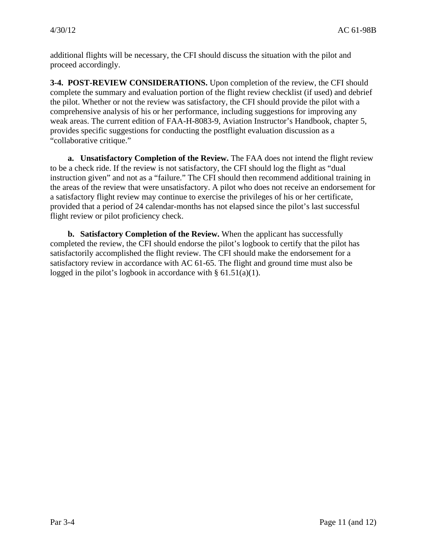additional flights will be necessary, the CFI should discuss the situation with the pilot and proceed accordingly.

**3-4. POST-REVIEW CONSIDERATIONS.** Upon completion of the review, the CFI should complete the summary and evaluation portion of the flight review checklist (if used) and debrief the pilot. Whether or not the review was satisfactory, the CFI should provide the pilot with a comprehensive analysis of his or her performance, including suggestions for improving any weak areas. The current edition of FAA-H-8083-9, Aviation Instructor's Handbook, chapter 5, provides specific suggestions for conducting the postflight evaluation discussion as a "collaborative critique."

**a. Unsatisfactory Completion of the Review.** The FAA does not intend the flight review to be a check ride. If the review is not satisfactory, the CFI should log the flight as "dual instruction given" and not as a "failure." The CFI should then recommend additional training in the areas of the review that were unsatisfactory. A pilot who does not receive an endorsement for a satisfactory flight review may continue to exercise the privileges of his or her certificate, provided that a period of 24 calendar-months has not elapsed since the pilot's last successful flight review or pilot proficiency check.

**b. Satisfactory Completion of the Review.** When the applicant has successfully completed the review, the CFI should endorse the pilot's logbook to certify that the pilot has satisfactorily accomplished the flight review. The CFI should make the endorsement for a satisfactory review in accordance with AC 61-65. The flight and ground time must also be logged in the pilot's logbook in accordance with § 61.51(a)(1).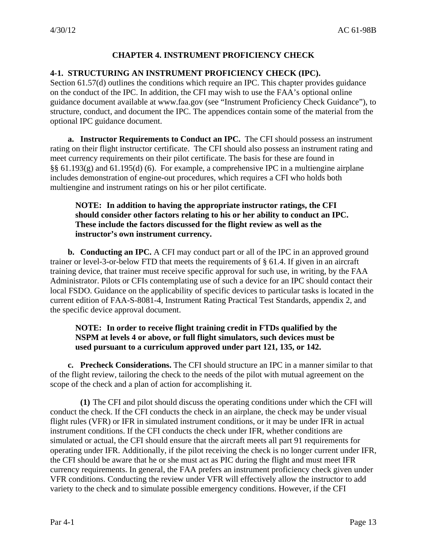# **CHAPTER 4. INSTRUMENT PROFICIENCY CHECK**

## **4-1. STRUCTURING AN INSTRUMENT PROFICIENCY CHECK (IPC).**

Section 61.57(d) outlines the conditions which require an IPC. This chapter provides guidance on the conduct of the IPC. In addition, the CFI may wish to use the FAA's optional online guidance document available at www.faa.gov (see "Instrument Proficiency Check Guidance"), to structure, conduct, and document the IPC. The appendices contain some of the material from the optional IPC guidance document.

**a. Instructor Requirements to Conduct an IPC.** The CFI should possess an instrument rating on their flight instructor certificate. The CFI should also possess an instrument rating and meet currency requirements on their pilot certificate. The basis for these are found in §§ 61.193(g) and 61.195(d) (6). For example, a comprehensive IPC in a multiengine airplane includes demonstration of engine-out procedures, which requires a CFI who holds both multiengine and instrument ratings on his or her pilot certificate.

# **NOTE: In addition to having the appropriate instructor ratings, the CFI should consider other factors relating to his or her ability to conduct an IPC. These include the factors discussed for the flight review as well as the instructor's own instrument currency.**

**b. Conducting an IPC.** A CFI may conduct part or all of the IPC in an approved ground trainer or level-3-or-below FTD that meets the requirements of § 61.4. If given in an aircraft training device, that trainer must receive specific approval for such use, in writing, by the FAA Administrator. Pilots or CFIs contemplating use of such a device for an IPC should contact their local FSDO. Guidance on the applicability of specific devices to particular tasks is located in the current edition of FAA-S-8081-4, Instrument Rating Practical Test Standards, appendix 2, and the specific device approval document.

# **NOTE: In order to receive flight training credit in FTDs qualified by the NSPM at levels 4 or above, or full flight simulators, such devices must be used pursuant to a curriculum approved under part 121, 135, or 142.**

**c. Precheck Considerations.** The CFI should structure an IPC in a manner similar to that of the flight review, tailoring the check to the needs of the pilot with mutual agreement on the scope of the check and a plan of action for accomplishing it.

**(1)** The CFI and pilot should discuss the operating conditions under which the CFI will conduct the check. If the CFI conducts the check in an airplane, the check may be under visual flight rules (VFR) or IFR in simulated instrument conditions, or it may be under IFR in actual instrument conditions. If the CFI conducts the check under IFR, whether conditions are simulated or actual, the CFI should ensure that the aircraft meets all part 91 requirements for operating under IFR. Additionally, if the pilot receiving the check is no longer current under IFR, the CFI should be aware that he or she must act as PIC during the flight and must meet IFR currency requirements. In general, the FAA prefers an instrument proficiency check given under VFR conditions. Conducting the review under VFR will effectively allow the instructor to add variety to the check and to simulate possible emergency conditions. However, if the CFI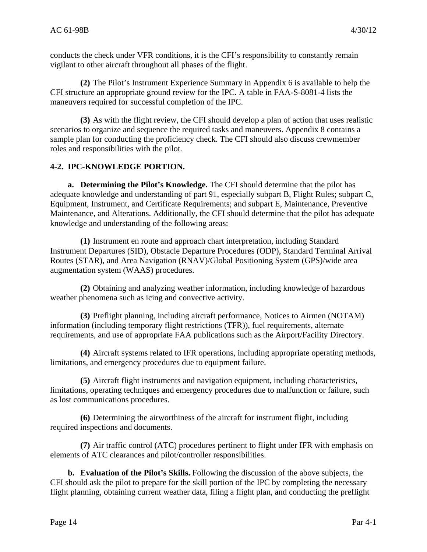conducts the check under VFR conditions, it is the CFI's responsibility to constantly remain vigilant to other aircraft throughout all phases of the flight.

**(2)** The Pilot's Instrument Experience Summary in Appendix 6 is available to help the CFI structure an appropriate ground review for the IPC. A table in FAA-S-8081-4 lists the maneuvers required for successful completion of the IPC.

**(3)** As with the flight review, the CFI should develop a plan of action that uses realistic scenarios to organize and sequence the required tasks and maneuvers. Appendix 8 contains a sample plan for conducting the proficiency check. The CFI should also discuss crewmember roles and responsibilities with the pilot.

# **4-2. IPC-KNOWLEDGE PORTION.**

**a. Determining the Pilot's Knowledge.** The CFI should determine that the pilot has adequate knowledge and understanding of part 91, especially subpart B, Flight Rules; subpart C, Equipment, Instrument, and Certificate Requirements; and subpart E, Maintenance, Preventive Maintenance, and Alterations. Additionally, the CFI should determine that the pilot has adequate knowledge and understanding of the following areas:

**(1)** Instrument en route and approach chart interpretation, including Standard Instrument Departures (SID), Obstacle Departure Procedures (ODP), Standard Terminal Arrival Routes (STAR), and Area Navigation (RNAV)/Global Positioning System (GPS)/wide area augmentation system (WAAS) procedures.

**(2)** Obtaining and analyzing weather information, including knowledge of hazardous weather phenomena such as icing and convective activity.

**(3)** Preflight planning, including aircraft performance, Notices to Airmen (NOTAM) information (including temporary flight restrictions (TFR)), fuel requirements, alternate requirements, and use of appropriate FAA publications such as the Airport/Facility Directory.

**(4)** Aircraft systems related to IFR operations, including appropriate operating methods, limitations, and emergency procedures due to equipment failure.

**(5)** Aircraft flight instruments and navigation equipment, including characteristics, limitations, operating techniques and emergency procedures due to malfunction or failure, such as lost communications procedures.

**(6)** Determining the airworthiness of the aircraft for instrument flight, including required inspections and documents.

**(7)** Air traffic control (ATC) procedures pertinent to flight under IFR with emphasis on elements of ATC clearances and pilot/controller responsibilities.

**b. Evaluation of the Pilot's Skills.** Following the discussion of the above subjects, the CFI should ask the pilot to prepare for the skill portion of the IPC by completing the necessary flight planning, obtaining current weather data, filing a flight plan, and conducting the preflight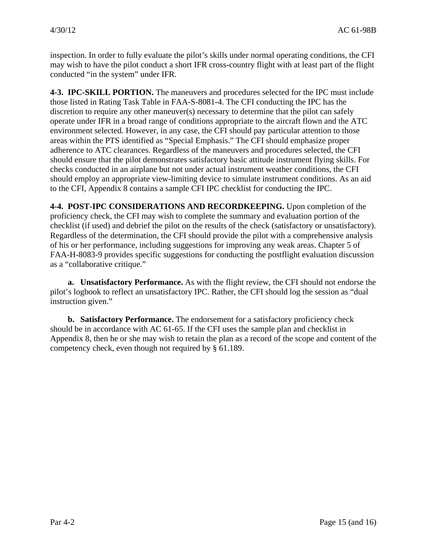inspection. In order to fully evaluate the pilot's skills under normal operating conditions, the CFI may wish to have the pilot conduct a short IFR cross-country flight with at least part of the flight conducted "in the system" under IFR.

**4-3. IPC-SKILL PORTION.** The maneuvers and procedures selected for the IPC must include those listed in Rating Task Table in FAA-S-8081-4. The CFI conducting the IPC has the discretion to require any other maneuver(s) necessary to determine that the pilot can safely operate under IFR in a broad range of conditions appropriate to the aircraft flown and the ATC environment selected. However, in any case, the CFI should pay particular attention to those areas within the PTS identified as "Special Emphasis." The CFI should emphasize proper adherence to ATC clearances. Regardless of the maneuvers and procedures selected, the CFI should ensure that the pilot demonstrates satisfactory basic attitude instrument flying skills. For checks conducted in an airplane but not under actual instrument weather conditions, the CFI should employ an appropriate view-limiting device to simulate instrument conditions. As an aid to the CFI, Appendix 8 contains a sample CFI IPC checklist for conducting the IPC.

**4-4. POST-IPC CONSIDERATIONS AND RECORDKEEPING.** Upon completion of the proficiency check, the CFI may wish to complete the summary and evaluation portion of the checklist (if used) and debrief the pilot on the results of the check (satisfactory or unsatisfactory). Regardless of the determination, the CFI should provide the pilot with a comprehensive analysis of his or her performance, including suggestions for improving any weak areas. Chapter 5 of FAA-H-8083-9 provides specific suggestions for conducting the postflight evaluation discussion as a "collaborative critique."

**a. Unsatisfactory Performance.** As with the flight review, the CFI should not endorse the pilot's logbook to reflect an unsatisfactory IPC. Rather, the CFI should log the session as "dual instruction given."

**b. Satisfactory Performance.** The endorsement for a satisfactory proficiency check should be in accordance with AC 61-65. If the CFI uses the sample plan and checklist in Appendix 8, then he or she may wish to retain the plan as a record of the scope and content of the competency check, even though not required by § 61.189.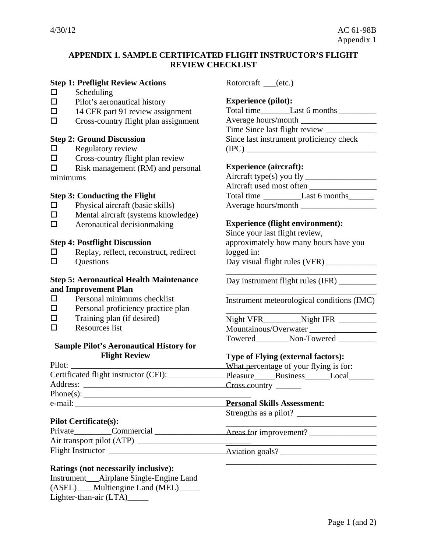# **APPENDIX 1. SAMPLE CERTIFICATED FLIGHT INSTRUCTOR'S FLIGHT REVIEW CHECKLIST**

#### **Step 1: Preflight Review Actions**

- $\Box$  Scheduling
- $\square$  Pilot's aeronautical history
- $\Box$  14 CFR part 91 review assignment
- $\Box$  Cross-country flight plan assignment

#### **Step 2: Ground Discussion**

- $\Box$  Regulatory review
- $\square$  Cross-country flight plan review

 $\square$  Risk management (RM) and personal minimums

#### **Step 3: Conducting the Flight**

- $\Box$  Physical aircraft (basic skills)
- $\Box$  Mental aircraft (systems knowledge)
- $\Box$  Aeronautical decision making

#### **Step 4: Postflight Discussion**

- $\Box$  Replay, reflect, reconstruct, redirect
- $\square$  Ouestions

#### **Step 5: Aeronautical Health Maintenance and Improvement Plan**

- $\square$  Personal minimums checklist
- $\square$  Personal proficiency practice plan
- $\Box$  Training plan (if desired)
- $\Box$  Resources list

#### **Sample Pilot's Aeronautical History for Flight Review**

| Pilot:                                | What percentage of         |
|---------------------------------------|----------------------------|
| Certificated flight instructor (CFI): | Pleasure Busin             |
| Address:                              |                            |
|                                       |                            |
| e-mail:                               | <b>Personal Skills Ass</b> |
|                                       | 0, 1, 1, 0                 |

#### **Pilot Certificate(s):**

Private\_\_\_\_\_\_\_\_\_\_Commercial \_\_\_\_\_\_\_\_\_\_\_\_\_\_\_\_\_\_\_\_\_\_\_\_\_Areas for Air transport pilot (ATP) \_\_\_\_\_\_\_\_\_\_\_\_\_\_\_\_\_\_\_\_\_\_\_\_\_\_\_ Flight Instructor \_\_\_\_\_\_\_\_\_\_\_\_\_\_\_\_\_\_\_\_\_\_\_\_\_\_\_\_\_\_\_\_\_\_ Aviation goals? \_\_\_\_\_\_\_\_\_\_\_\_\_\_\_\_\_\_\_\_\_\_\_

#### **Ratings (not necessarily inclusive):**

Instrument\_\_\_Airplane Single-Engine Land (ASEL) Multiengine Land (MEL) Lighter-than-air (LTA)\_\_\_\_\_

Rotorcraft \_\_\_(etc.)

#### **Experience (pilot):**

Total time Last 6 months Letter Controller and the Last 6 months Letter Last 6 months Letter Last 6 months Letter L Average hours/month \_\_\_\_\_\_\_\_\_\_\_\_\_\_\_\_\_\_ Time Since last flight review \_\_\_\_\_\_\_\_\_\_\_\_ Since last instrument proficiency check (IPC) \_\_\_\_\_\_\_\_\_\_\_\_\_\_\_\_\_\_\_\_\_\_\_\_\_\_\_\_\_\_\_

#### **Experience (aircraft):**

Aircraft type(s) you fly \_\_\_\_\_\_\_\_\_\_\_\_\_\_\_\_\_ Aircraft used most often Total time Last 6 months Average hours/month

#### **Experience (flight environment):**

Since your last flight review, approximately how many hours have you logged in: Day visual flight rules (VFR) \_\_\_\_\_\_\_\_\_\_\_\_

Day instrument flight rules (IFR)

\_\_\_\_\_\_\_\_\_\_\_\_\_\_\_\_\_\_\_\_\_\_\_\_\_\_\_\_\_\_\_\_\_\_\_\_ Instrument meteorological conditions (IMC)

\_\_\_\_\_\_\_\_\_\_\_\_\_\_\_\_\_\_\_\_\_\_\_\_\_\_\_\_\_\_\_\_\_\_\_\_

\_\_\_\_\_\_\_\_\_\_\_\_\_\_\_\_\_\_\_\_\_\_\_\_\_\_\_\_\_\_\_\_\_\_\_\_ Night VFR\_\_\_\_\_\_\_\_\_Night IFR \_\_\_\_\_\_\_\_\_ Mountainous/Overwater \_\_\_\_\_\_\_\_\_\_\_\_\_\_\_\_ Towered\_\_\_\_\_\_\_\_Non-Towered \_\_\_\_\_\_\_\_\_

#### **Type of Flying (external factors):**

your flying is for: ness\_\_\_\_\_\_\_Local\_\_\_\_\_\_\_ Cross country \_\_\_\_\_\_

\_\_\_\_\_\_\_\_\_\_\_\_\_\_\_\_\_\_\_\_\_\_\_\_\_\_\_\_\_\_\_\_\_\_\_\_

\_\_\_\_\_\_\_\_\_\_\_\_\_\_\_\_\_\_\_\_\_\_\_\_\_\_\_\_\_\_\_\_\_\_\_\_

**Personant:** 

Strengths as a pilot? \_\_\_\_\_\_\_\_\_\_\_\_\_\_\_\_\_\_\_

Areas for improvement? \_\_\_\_\_\_\_\_\_\_\_\_\_\_\_\_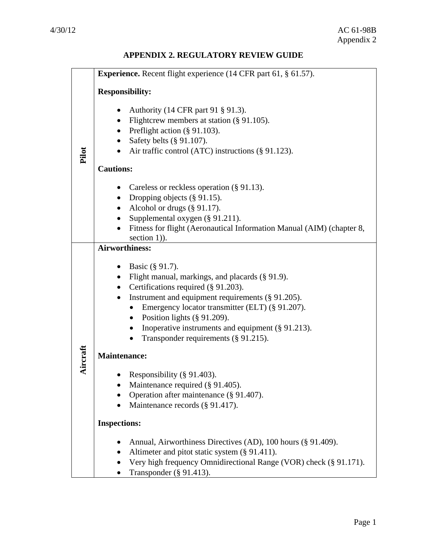# **APPENDIX 2. REGULATORY REVIEW GUIDE**

|          | <b>Experience.</b> Recent flight experience (14 CFR part 61, § 61.57).             |  |  |
|----------|------------------------------------------------------------------------------------|--|--|
|          |                                                                                    |  |  |
|          | <b>Responsibility:</b>                                                             |  |  |
|          | Authority (14 CFR part 91 § 91.3).<br>٠                                            |  |  |
|          | Flightcrew members at station (§ 91.105).<br>$\bullet$                             |  |  |
|          | Preflight action (§ 91.103).                                                       |  |  |
|          | Safety belts (§ 91.107).<br>$\bullet$                                              |  |  |
| Pilot    | Air traffic control (ATC) instructions (§ 91.123).<br>$\bullet$                    |  |  |
|          |                                                                                    |  |  |
|          | <b>Cautions:</b>                                                                   |  |  |
|          | Careless or reckless operation $(\S 91.13)$ .<br>٠                                 |  |  |
|          | Dropping objects $(\S 91.15)$ .                                                    |  |  |
|          | Alcohol or drugs $(\S 91.17)$ .<br>$\bullet$                                       |  |  |
|          | Supplemental oxygen (§ 91.211).                                                    |  |  |
|          | Fitness for flight (Aeronautical Information Manual (AIM) (chapter 8,<br>$\bullet$ |  |  |
|          | section 1)).                                                                       |  |  |
|          | <b>Airworthiness:</b>                                                              |  |  |
|          | Basic (§ 91.7).<br>٠                                                               |  |  |
|          | Flight manual, markings, and placards (§ 91.9).                                    |  |  |
|          | Certifications required (§ 91.203).<br>$\bullet$                                   |  |  |
|          | Instrument and equipment requirements (§ 91.205).<br>٠                             |  |  |
|          | Emergency locator transmitter (ELT) (§ 91.207).<br>$\bullet$                       |  |  |
|          | Position lights $(\S 91.209)$ .<br>$\bullet$                                       |  |  |
|          | Inoperative instruments and equipment (§ 91.213).<br>$\bullet$                     |  |  |
|          | Transponder requirements (§ 91.215).<br>$\bullet$                                  |  |  |
|          |                                                                                    |  |  |
| Aircraft | <b>Maintenance:</b>                                                                |  |  |
|          | Responsibility (§ 91.403).                                                         |  |  |
|          | Maintenance required (§ 91.405).                                                   |  |  |
|          | Operation after maintenance (§ 91.407).                                            |  |  |
|          | Maintenance records (§ 91.417).                                                    |  |  |
|          |                                                                                    |  |  |
|          | <b>Inspections:</b>                                                                |  |  |
|          | Annual, Airworthiness Directives (AD), 100 hours (§ 91.409).                       |  |  |
|          | Altimeter and pitot static system (§ 91.411).                                      |  |  |
|          | Very high frequency Omnidirectional Range (VOR) check (§ 91.171).                  |  |  |
|          | Transponder $(\S 91.413)$ .                                                        |  |  |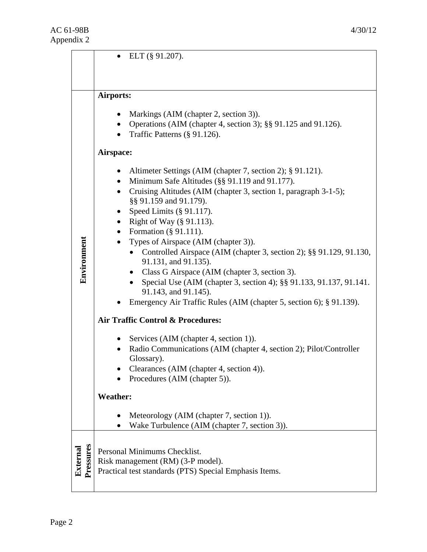|                       | ELT $(\S 91.207)$ .                                                                                                                                                                                                                                                                                                                                                                                                                                                                                                                                                                                                                                                                                                                                                                             |  |
|-----------------------|-------------------------------------------------------------------------------------------------------------------------------------------------------------------------------------------------------------------------------------------------------------------------------------------------------------------------------------------------------------------------------------------------------------------------------------------------------------------------------------------------------------------------------------------------------------------------------------------------------------------------------------------------------------------------------------------------------------------------------------------------------------------------------------------------|--|
|                       |                                                                                                                                                                                                                                                                                                                                                                                                                                                                                                                                                                                                                                                                                                                                                                                                 |  |
|                       | Airports:                                                                                                                                                                                                                                                                                                                                                                                                                                                                                                                                                                                                                                                                                                                                                                                       |  |
|                       | Markings (AIM (chapter 2, section 3)).<br>٠<br>Operations (AIM (chapter 4, section 3); §§ 91.125 and 91.126).<br>Traffic Patterns (§ 91.126).<br>$\bullet$                                                                                                                                                                                                                                                                                                                                                                                                                                                                                                                                                                                                                                      |  |
|                       | Airspace:                                                                                                                                                                                                                                                                                                                                                                                                                                                                                                                                                                                                                                                                                                                                                                                       |  |
| Environment           | Altimeter Settings (AIM (chapter 7, section 2); § 91.121).<br>Minimum Safe Altitudes (§§ 91.119 and 91.177).<br>$\bullet$<br>Cruising Altitudes (AIM (chapter 3, section 1, paragraph 3-1-5);<br>$\bullet$<br>§§ 91.159 and 91.179).<br>Speed Limits $(\S 91.117)$ .<br>$\bullet$<br>Right of Way (§ 91.113).<br>$\bullet$<br>Formation $(\S 91.111)$ .<br>$\bullet$<br>Types of Airspace (AIM (chapter 3)).<br>Controlled Airspace (AIM (chapter 3, section 2); §§ 91.129, 91.130,<br>$\bullet$<br>91.131, and 91.135).<br>Class G Airspace (AIM (chapter 3, section 3).<br>Special Use (AIM (chapter 3, section 4); §§ 91.133, 91.137, 91.141.<br>91.143, and 91.145).<br>Emergency Air Traffic Rules (AIM (chapter 5, section 6); § 91.139).<br><b>Air Traffic Control &amp; Procedures:</b> |  |
|                       | Services (AIM (chapter 4, section 1)).<br>Radio Communications (AIM (chapter 4, section 2); Pilot/Controller<br>Glossary).<br>Clearances (AIM (chapter 4, section 4)).<br>Procedures (AIM (chapter 5)).                                                                                                                                                                                                                                                                                                                                                                                                                                                                                                                                                                                         |  |
|                       | <b>Weather:</b>                                                                                                                                                                                                                                                                                                                                                                                                                                                                                                                                                                                                                                                                                                                                                                                 |  |
|                       | Meteorology (AIM (chapter 7, section 1)).<br>Wake Turbulence (AIM (chapter 7, section 3)).                                                                                                                                                                                                                                                                                                                                                                                                                                                                                                                                                                                                                                                                                                      |  |
| Pressures<br>External | Personal Minimums Checklist.<br>Risk management (RM) (3-P model).<br>Practical test standards (PTS) Special Emphasis Items.                                                                                                                                                                                                                                                                                                                                                                                                                                                                                                                                                                                                                                                                     |  |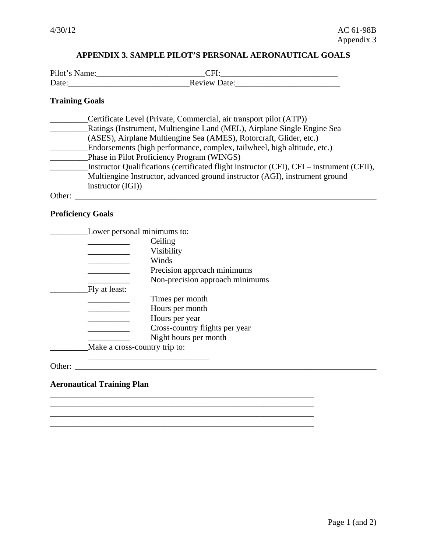# **APPENDIX 3. SAMPLE PILOT'S PERSONAL AERONAUTICAL GOALS**

| Pilot's Name: |                     |
|---------------|---------------------|
| Date:         | <b>Review Date:</b> |

# **Training Goals**

|        | Certificate Level (Private, Commercial, air transport pilot (ATP))                        |
|--------|-------------------------------------------------------------------------------------------|
|        | Ratings (Instrument, Multiengine Land (MEL), Airplane Single Engine Sea                   |
|        | (ASES), Airplane Multiengine Sea (AMES), Rotorcraft, Glider, etc.)                        |
|        | Endorsements (high performance, complex, tailwheel, high altitude, etc.)                  |
|        | Phase in Pilot Proficiency Program (WINGS)                                                |
|        | Instructor Qualifications (certificated flight instructor (CFI), CFI – instrument (CFII), |
|        | Multiengine Instructor, advanced ground instructor (AGI), instrument ground               |
|        | instructor (IGI))                                                                         |
| Other: |                                                                                           |

# **Proficiency Goals**

|        | Lower personal minimums to:   |                                 |  |
|--------|-------------------------------|---------------------------------|--|
|        |                               | Ceiling                         |  |
|        |                               | Visibility                      |  |
|        |                               | Winds                           |  |
|        |                               | Precision approach minimums     |  |
|        |                               | Non-precision approach minimums |  |
|        | Fly at least:                 |                                 |  |
|        |                               | Times per month                 |  |
|        |                               | Hours per month                 |  |
|        |                               | Hours per year                  |  |
|        |                               | Cross-country flights per year  |  |
|        |                               | Night hours per month           |  |
|        | Make a cross-country trip to: |                                 |  |
|        |                               |                                 |  |
| Other: |                               |                                 |  |

 $\mathcal{L}_\text{max}$  , and the set of the set of the set of the set of the set of the set of the set of the set of the set of \_\_\_\_\_\_\_\_\_\_\_\_\_\_\_\_\_\_\_\_\_\_\_\_\_\_\_\_\_\_\_\_\_\_\_\_\_\_\_\_\_\_\_\_\_\_\_\_\_\_\_\_\_\_\_\_\_\_\_\_\_\_\_

#### **Aeronautical Training Plan**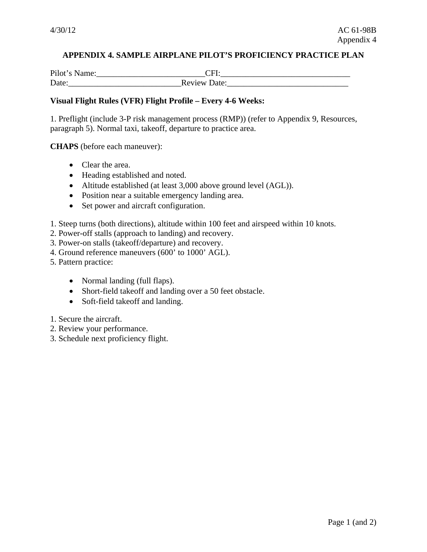# **APPENDIX 4. SAMPLE AIRPLANE PILOT'S PROFICIENCY PRACTICE PLAN**

Pilot's Name:\_\_\_\_\_\_\_\_\_\_\_\_\_\_\_\_\_\_\_\_\_\_\_\_\_\_CFI:\_\_\_\_\_\_\_\_\_\_\_\_\_\_\_\_\_\_\_\_\_\_\_\_\_\_\_\_\_\_\_ Date:\_\_\_\_\_\_\_\_\_\_\_\_\_\_\_\_\_\_\_\_\_\_\_\_\_\_\_Review Date:\_\_\_\_\_\_\_\_\_\_\_\_\_\_\_\_\_\_\_\_\_\_\_\_\_\_\_\_\_

#### **Visual Flight Rules (VFR) Flight Profile – Every 4-6 Weeks:**

1. Preflight (include 3-P risk management process (RMP)) (refer to Appendix 9, Resources, paragraph 5). Normal taxi, takeoff, departure to practice area.

**CHAPS** (before each maneuver):

- Clear the area.
- Heading established and noted.
- Altitude established (at least 3,000 above ground level (AGL)).
- Position near a suitable emergency landing area.
- Set power and aircraft configuration.
- 1. Steep turns (both directions), altitude within 100 feet and airspeed within 10 knots.
- 2. Power-off stalls (approach to landing) and recovery.
- 3. Power-on stalls (takeoff/departure) and recovery.
- 4. Ground reference maneuvers (600' to 1000' AGL).
- 5. Pattern practice:
	- Normal landing (full flaps).
	- Short-field takeoff and landing over a 50 feet obstacle.
	- Soft-field takeoff and landing.
- 1. Secure the aircraft.
- 2. Review your performance.
- 3. Schedule next proficiency flight.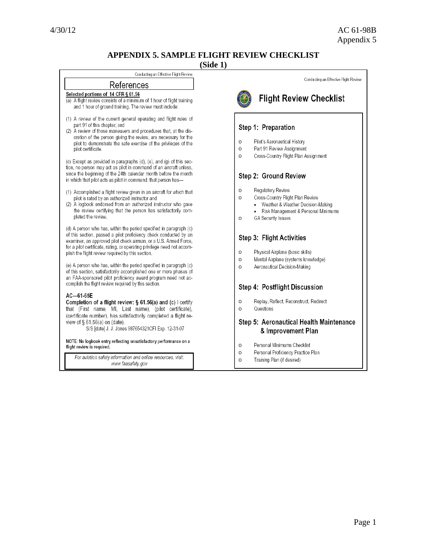# **APPENDIX 5. SAMPLE FLIGHT REVIEW CHECKLIST**

**(Side 1)**

| Conducting an Effective Flight Review                                                                                                                                                                                                                                                                                                                                                                                                                                                                                                                                                                              |                                                                                                                                                                                          |
|--------------------------------------------------------------------------------------------------------------------------------------------------------------------------------------------------------------------------------------------------------------------------------------------------------------------------------------------------------------------------------------------------------------------------------------------------------------------------------------------------------------------------------------------------------------------------------------------------------------------|------------------------------------------------------------------------------------------------------------------------------------------------------------------------------------------|
| References                                                                                                                                                                                                                                                                                                                                                                                                                                                                                                                                                                                                         | Conducting an Effective Flight Review                                                                                                                                                    |
| Selected portions of 14 CFR § 61.56<br>(a) A flight review consists of a minimum of 1 hour of flight training<br>and 1 hour of ground training. The review must include:                                                                                                                                                                                                                                                                                                                                                                                                                                           | <b>Flight Review Checklist</b>                                                                                                                                                           |
| (1) A review of the current general operating and flight rules of<br>part 91 of this chapter; and<br>(2) A review of those maneuvers and procedures that, at the dis-<br>cretion of the person giving the review, are necessary for the<br>pilot to demonstrate the safe exercise of the privileges of the<br>pilot certificate.<br>(c) Except as provided in paragraphs (d), (e), and (g) of this sec-<br>tion, no person may act as pilot in command of an aircraft unless,<br>since the beginning of the 24th calendar month before the month<br>in which that pilot acts as pilot in command, that person has- | Step 1: Preparation<br>Pilot's Aeronautical History<br>O<br>Part 91 Review Assignment<br>0<br>Cross-Country Flight Plan Assignment<br>O<br>Step 2: Ground Review                         |
| (1) Accomplished a flight review given in an aircraft for which that<br>pilot is rated by an authorized instructor and<br>(2) A logbook endorsed from an authorized instructor who gave<br>the review certifying that the person has satisfactorily com-<br>pleted the review.                                                                                                                                                                                                                                                                                                                                     | O<br>Regulatory Review<br>Cross-Country Flight Plan Review<br>0<br>• Weather & Weather Decision-Making<br>• Risk Management & Personal Minimums<br><b>GA Security Issues</b><br>$\Omega$ |
| (d) A person who has, within the period specified in paragraph (c)<br>of this section, passed a pilot proficiency check conducted by an<br>examiner, an approved pilot check airman, or a U.S. Armed Force,<br>for a pilot certificate, rating, or operating privilege need not accom-<br>plish the flight review required by this section.<br>(e) A person who has, within the period specified in paragraph (c)<br>of this section, satisfactorily accomplished one or more phases of<br>an FAA-sponsored pilot proficiency award program need not ac-<br>complish the flight review required by this section.   | Step 3: Flight Activities<br>Physical Airplane (basic skills)<br>O<br>Mental Airplane (systems knowledge)<br>O<br>Aeronautical Decision-Making<br>O<br>Step 4: Postflight Discussion     |
| $AC - 61 - 65E$<br>Completion of a flight review: § 61.56(a) and (c) I certify<br>that (First name, MI, Last name), (pilot certificate),<br>(certificate number), has satisfactorily completed a flight re-<br>view of § 61.56(a) on (date).<br>S/S [date] J. J. Jones 987654321CFI Exp. 12-31-07<br>NOTE: No logbook entry reflecting unsatisfactory performance on a<br>flight review is required.                                                                                                                                                                                                               | Replay, Reflect, Reconstruct, Redirect<br>O<br>Questions<br>O<br>Step 5: Aeronautical Health Maintenance<br>& Improvement Plan<br>Personal Minimums Checklist<br>O                       |
| For aviation safety information and online resources, visit:<br>www.faasafety.gov                                                                                                                                                                                                                                                                                                                                                                                                                                                                                                                                  | Personal Proficiency Practice Plan<br>O<br>Training Plan (if desired)<br>O                                                                                                               |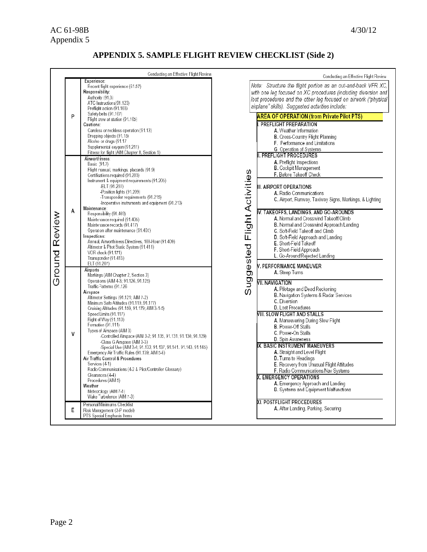# AC 61-98B 4/30/12 Appendix 5

# **APPENDIX 5. SAMPLE FLIGHT REVIEW CHECKLIST (Side 2)**

|                    | Conducting an Effective Flight Review                                                                                                                                                                                                                                                                                                                                                                                                                                                                                                                                                                                                                                                                                                                                                                                    |
|--------------------|--------------------------------------------------------------------------------------------------------------------------------------------------------------------------------------------------------------------------------------------------------------------------------------------------------------------------------------------------------------------------------------------------------------------------------------------------------------------------------------------------------------------------------------------------------------------------------------------------------------------------------------------------------------------------------------------------------------------------------------------------------------------------------------------------------------------------|
| P                  | Experience:<br>Recent flight experience (61.57)<br>Responsibility:<br>Authority (91.3)<br>ATC Instructions(91.123)<br>Preflight action (91.103)<br>Safety belts (91.107)<br>Flight crew at station (91.105)<br><b>Cautions:</b><br>Careless or reckless operation (91.13)<br>Dropping objects (91.15)<br>Alcohol or drugs (91.17<br>Supplemental oxygen (91.211)<br>Fitness for flight (AIM Chapter 8, Section 1)                                                                                                                                                                                                                                                                                                                                                                                                        |
| A<br>Ground Review | Airworthiness:<br>Basic (91.7)<br>Flight manual, markings, placards (91.9)<br>Certifications required (91.203)<br>Instrument & equipment requirements (91.205)<br>-ELT (91.207)<br>-Position lights (91.209)<br>-Transponder requirements (91.215)<br>-Inoperative instruments and equipment (91.213)<br>Maintenance:<br>Responsibility (91.403)<br>Maintenance required (91.405)<br>Maintenance records (91.417)<br>Operation after maintenance (91.407)<br>Inspections:<br>Annual, Airworthiness Directives, 100-Hour (91.409)<br>Altimeter & Pitot Static System (91.411)<br>VOR check (91.171)<br>Transponder (91.413)<br>ELT (91.207)                                                                                                                                                                               |
| V                  | Airports<br>Markings (AIM Chapter 2, Section 3)<br>Operations (AIM 4-3; 91.126, 91.125)<br>Traffic Patterns (91.126<br>Airspace<br>Altimeter Settings (91.121: AIM 7-2)<br>Minimum Safe Altitudes (91.119, 91.177)<br>Cruising Altitudes (91.159, 91.179; AIM 3-1-5)<br>Speed Limits (91.117)<br>Right of Way (91.113)<br>Formation (91.111)<br>Types of Airspace (AIM 3)<br>-Controlled Airspace (AIM 3-2; 91.135, 91.131, 91.130, 91.129)<br>-Class G Airspace (AIM 3-3)<br>-Special Use (AIM 3-4; 91.133, 91.137, 91.141. 91.143, 91.145)<br>Emergency Air Traffic Rules (91.139; AIM 5-6)<br>Air Traffic Control & Procedures<br>Services (4-1)<br>Radio Communications (4-2 & Pilot/Controller Glossary)<br>Clearances (4-4)<br>Procedures (AIM 5)<br>Weather<br>Meteorology (AIM 7-1)<br>Wake Turbulence (AIM 7-3) |
| E                  | Personal Minimums Checklist<br>Risk Management (3-P model)<br>PTS Special Emphasis Items                                                                                                                                                                                                                                                                                                                                                                                                                                                                                                                                                                                                                                                                                                                                 |

|                             | Conducting an Effective Flight Review<br>Structure the flight portion as an out-and-back VFR XC,<br>Note:<br>with one leg focused on XC procedures (including diversion and<br>lost procedures and the other leg focused on airwork ("physical<br>airplane" skills). Suggested activities include:                                                                                                                                                                                                                                                                                                                                                                                                                                                                              |  |  |  |
|-----------------------------|---------------------------------------------------------------------------------------------------------------------------------------------------------------------------------------------------------------------------------------------------------------------------------------------------------------------------------------------------------------------------------------------------------------------------------------------------------------------------------------------------------------------------------------------------------------------------------------------------------------------------------------------------------------------------------------------------------------------------------------------------------------------------------|--|--|--|
|                             | AREA OF OPERATION (from Private Pilot PTS)                                                                                                                                                                                                                                                                                                                                                                                                                                                                                                                                                                                                                                                                                                                                      |  |  |  |
| Suggested Flight Activities | PREFLIGHT PREPARATION<br>A. Weather Information<br><b>B.</b> Cross-Country Flight Planning<br>F. Performance and Limitations<br>G Operation of Systems<br>II. PREFLIGHT PROCEDURES<br>A. Preflight Inspections<br><b>B</b> . Cockpit Management<br>F. Before Takeoff Check<br>III. AIRPORT OPERATIONS<br>A. Radio Communications<br>C. Airport, Runway, Taxiway Signs, Markings, & Lighting<br>IV. TAKEOFFS, LANDINGS, AND GO-AROUNDS<br><b>A.</b> Normal and Crosswind Takeoff/Climb<br><b>B.</b> Normal and Crosswind Approach/Landing<br>C. Soft-Field Takeoff and Climb<br><b>D</b> . Soft-Field Approach and Landing<br>E. Short-Field Takeoff<br>F. Short-Field Approach<br>L. Go-Around/Rejected Landing<br>V. PERFORMANCE MANEUVER<br>A. Steep Turns<br>VII. NAVIGATION |  |  |  |
|                             | <b>A.</b> Pilotage and Dead Reckoning<br><b>B.</b> Navigation Systems & Radar Services<br>C. Diversion                                                                                                                                                                                                                                                                                                                                                                                                                                                                                                                                                                                                                                                                          |  |  |  |
|                             | D. Lost Procedures<br>VIII. SLOW FLIGHT AND STALLS<br><b>A</b> . Maneuvering During Slow Flight<br><b>B.</b> Power-Off Stalls<br>C. Power-On Stalls<br><b>D</b> . Spin Awareness                                                                                                                                                                                                                                                                                                                                                                                                                                                                                                                                                                                                |  |  |  |
|                             | IX. BASIC INSTRUMENT MANEUVERS<br><b>A.</b> Straight and Level Flight<br><b>D. Turns to Headings</b><br>E. Recovery from Unusual Flight Attitudes<br>F. Radio Communications/Nav Systems                                                                                                                                                                                                                                                                                                                                                                                                                                                                                                                                                                                        |  |  |  |
|                             | <b>X. EMERGENCY OPERATIONS</b><br><b>A.</b> Emergency Approach and Landing<br><b>B</b> . Systems and Equipment Malfunctions                                                                                                                                                                                                                                                                                                                                                                                                                                                                                                                                                                                                                                                     |  |  |  |
|                             | XI. POSTFLIGHT PROCEDURES<br>A. After Landing, Parking, Securing                                                                                                                                                                                                                                                                                                                                                                                                                                                                                                                                                                                                                                                                                                                |  |  |  |
|                             |                                                                                                                                                                                                                                                                                                                                                                                                                                                                                                                                                                                                                                                                                                                                                                                 |  |  |  |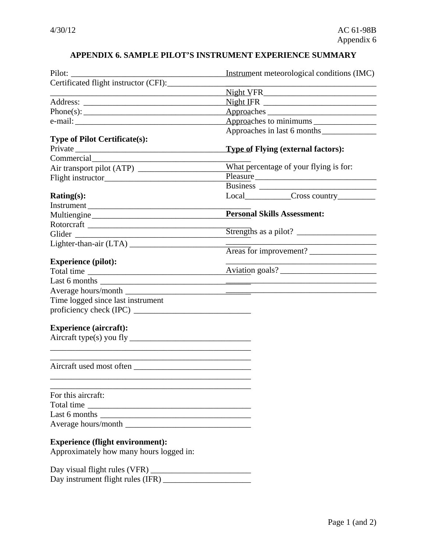# **APPENDIX 6. SAMPLE PILOT'S INSTRUMENT EXPERIENCE SUMMARY**

|                                                                                                                                                                                                                               | Instrument meteorological conditions (IMC)       |
|-------------------------------------------------------------------------------------------------------------------------------------------------------------------------------------------------------------------------------|--------------------------------------------------|
| Certificated flight instructor (CFI):                                                                                                                                                                                         |                                                  |
|                                                                                                                                                                                                                               |                                                  |
|                                                                                                                                                                                                                               |                                                  |
|                                                                                                                                                                                                                               |                                                  |
| e-mail:                                                                                                                                                                                                                       |                                                  |
|                                                                                                                                                                                                                               | Approaches in last 6 months                      |
| <b>Type of Pilot Certificate(s):</b>                                                                                                                                                                                          |                                                  |
| Private                                                                                                                                                                                                                       | <b>Type of Flying (external factors):</b>        |
| Commercial Commercial                                                                                                                                                                                                         |                                                  |
|                                                                                                                                                                                                                               | What percentage of your flying is for:           |
|                                                                                                                                                                                                                               | Pleasure                                         |
|                                                                                                                                                                                                                               |                                                  |
| Rating(s):                                                                                                                                                                                                                    | Local______________Cross country____________     |
| Instrument                                                                                                                                                                                                                    |                                                  |
| Multiengine                                                                                                                                                                                                                   | <b>Personal Skills Assessment:</b>               |
|                                                                                                                                                                                                                               |                                                  |
| Glider National Communication of the Communication of the Communication of the Communication of the Communication of the Communication of the Communication of the Communication of the Communication of the Communication of |                                                  |
|                                                                                                                                                                                                                               |                                                  |
|                                                                                                                                                                                                                               |                                                  |
| <b>Experience (pilot):</b>                                                                                                                                                                                                    | the control of the control of the control of the |
|                                                                                                                                                                                                                               | Aviation goals?                                  |
|                                                                                                                                                                                                                               |                                                  |
|                                                                                                                                                                                                                               |                                                  |
| Time logged since last instrument                                                                                                                                                                                             |                                                  |
| proficiency check (IPC) $\frac{1}{2}$                                                                                                                                                                                         |                                                  |
| <b>Experience (aircraft):</b>                                                                                                                                                                                                 |                                                  |
|                                                                                                                                                                                                                               |                                                  |
|                                                                                                                                                                                                                               |                                                  |
|                                                                                                                                                                                                                               |                                                  |
| For this aircraft:                                                                                                                                                                                                            |                                                  |
| Total time                                                                                                                                                                                                                    |                                                  |
|                                                                                                                                                                                                                               |                                                  |
|                                                                                                                                                                                                                               |                                                  |
|                                                                                                                                                                                                                               |                                                  |
| <b>Experience (flight environment):</b><br>Approximately how many hours logged in:                                                                                                                                            |                                                  |
|                                                                                                                                                                                                                               |                                                  |
|                                                                                                                                                                                                                               |                                                  |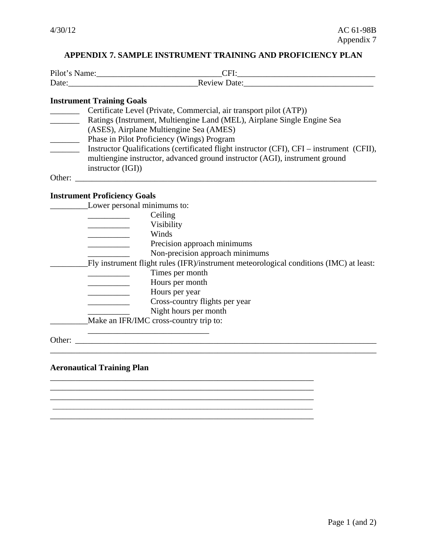# **APPENDIX 7. SAMPLE INSTRUMENT TRAINING AND PROFICIENCY PLAN**

| Pilot<br>. .<br>$-1$ |             |
|----------------------|-------------|
| Date:                | 1ate∙<br>в. |

# **Instrument Training Goals**

|        | Certificate Level (Private, Commercial, air transport pilot (ATP))                        |
|--------|-------------------------------------------------------------------------------------------|
|        | Ratings (Instrument, Multiengine Land (MEL), Airplane Single Engine Sea                   |
|        | (ASES), Airplane Multiengine Sea (AMES)                                                   |
|        | Phase in Pilot Proficiency (Wings) Program                                                |
|        | Instructor Qualifications (certificated flight instructor (CFI), CFI – instrument (CFII), |
|        | multiengine instructor, advanced ground instructor (AGI), instrument ground               |
|        | instructor $(IGI)$                                                                        |
| Other: |                                                                                           |

# **Instrument Proficiency Goals**

|        | Lower personal minimums to:                                                            |  |
|--------|----------------------------------------------------------------------------------------|--|
|        | Ceiling                                                                                |  |
|        | Visibility                                                                             |  |
|        | Winds                                                                                  |  |
|        | Precision approach minimums                                                            |  |
|        | Non-precision approach minimums                                                        |  |
|        | Fly instrument flight rules (IFR)/instrument meteorological conditions (IMC) at least: |  |
|        | Times per month                                                                        |  |
|        | Hours per month                                                                        |  |
|        | Hours per year                                                                         |  |
|        | Cross-country flights per year                                                         |  |
|        | Night hours per month                                                                  |  |
|        | Make an IFR/IMC cross-country trip to:                                                 |  |
|        |                                                                                        |  |
| Other: |                                                                                        |  |

\_\_\_\_\_\_\_\_\_\_\_\_\_\_\_\_\_\_\_\_\_\_\_\_\_\_\_\_\_\_\_\_\_\_\_\_\_\_\_\_\_\_\_\_\_\_\_\_\_\_\_\_\_\_\_\_\_\_\_\_\_\_\_ \_\_\_\_\_\_\_\_\_\_\_\_\_\_\_\_\_\_\_\_\_\_\_\_\_\_\_\_\_\_\_\_\_\_\_\_\_\_\_\_\_\_\_\_\_\_\_\_\_\_\_\_\_\_\_\_\_\_\_\_\_\_\_ \_\_\_\_\_\_\_\_\_\_\_\_\_\_\_\_\_\_\_\_\_\_\_\_\_\_\_\_\_\_\_\_\_\_\_\_\_\_\_\_\_\_\_\_\_\_\_\_\_\_\_\_\_\_\_\_\_\_\_\_\_\_\_\_\_\_\_\_\_\_\_\_\_\_

\_\_\_\_\_\_\_\_\_\_\_\_\_\_\_\_\_\_\_\_\_\_\_\_\_\_\_\_\_\_\_\_\_\_\_\_\_\_\_\_\_\_\_\_\_\_\_\_\_\_\_\_\_\_\_\_\_\_\_\_\_\_\_

#### **Aeronautical Training Plan**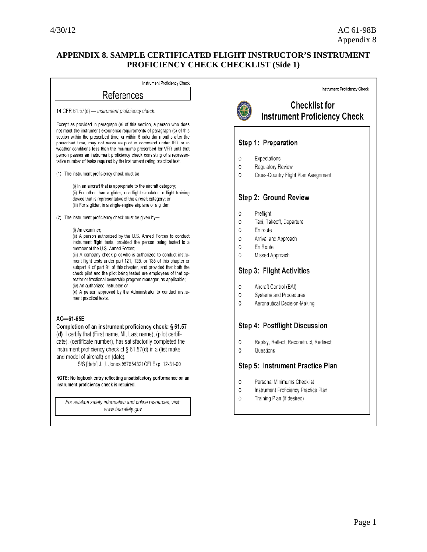# **APPENDIX 8. SAMPLE CERTIFICATED FLIGHT INSTRUCTOR'S INSTRUMENT PROFICIENCY CHECK CHECKLIST (Side 1)**

Instrument Proficiency Check References 14 CFR 61.57(d) - Instrument proficiency check Except as provided in paragraph (e) of this section, a person who does not meet the instrument experience requirements of paragraph (c) of this section within the prescribed time, or within 6 calendar months after the prescribed time, may not serve as pilot in command under IFR or in weather conditions less than the minimums prescribed for VFR until that person passes an instrument proficiency check consisting of a representative number of tasks required by the instrument rating practical test. (1) The instrument proficiency check must be-(i) In an aircraft that is appropriate to the aircraft category: (ii) For other than a glider, in a flight simulator or flight training device that is representative of the aircraft category; or (iii) For a glider, in a single-engine airplane or a glider. (2) The instrument proficiency check must be given by-(i) An examiner; (ii) A person authorized by the U.S. Armed Forces to conduct instrument flight tests, provided the person being tested is a member of the U.S. Armed Forces; (iii) A company check pilot who is authorized to conduct instrument flight tests under part 121, 125, or 135 of this chapter or subpart K of part 91 of this chapter, and provided that both the check pilot and the pilot being tested are employees of that operator or fractional ownership program manager, as applicable; (iv) An authorized instructor; or (v) A person approved by the Administrator to conduct instrument practical tests. AC-61-65E Completion of an instrument proficiency check: § 61.57 (d) I certify that (First name, MI, Last name), (pilot certificate), (certificate number), has satisfactorily completed the instrument proficiency check of § 61.57(d) in a (list make and model of aircraft) on (date). S/S [date] J. J. Jones 987654321CFI Exp. 12-31-00 NOTE: No logbook entry reflecting unsatisfactory performance on an instrument proficiency check is required. For aviation safety information and online resources, visit: www.faasafety.gov

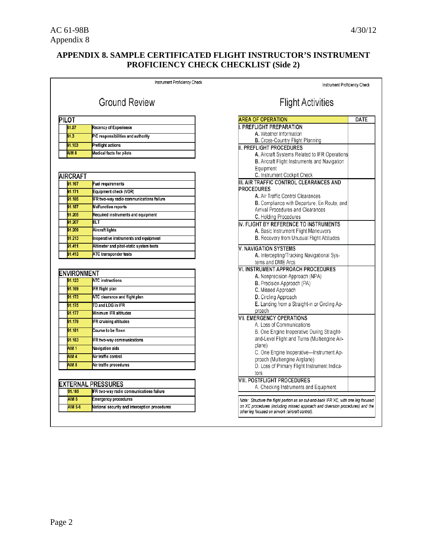# **APPENDIX 8. SAMPLE CERTIFICATED FLIGHT INSTRUCTOR'S INSTRUMENT PROFICIENCY CHECK CHECKLIST (Side 2)**

|                    | Instrument Proficiency Check                  | Instrument Proficiency Check                                                                                                                                        |      |
|--------------------|-----------------------------------------------|---------------------------------------------------------------------------------------------------------------------------------------------------------------------|------|
|                    | <b>Ground Review</b>                          | <b>Flight Activities</b>                                                                                                                                            |      |
| PILOT              |                                               | <b>AREA OF OPERATION</b>                                                                                                                                            | DATE |
| 61.57              | <b>Recency of Experience</b>                  | I. PREFLIGHT PREPARATION                                                                                                                                            |      |
| 91.3               | PIC responsibilities and authority            | A. Weather Information                                                                                                                                              |      |
|                    |                                               | B. Cross-Country Flight Planning                                                                                                                                    |      |
| 91.103             | <b>Preflight actions</b>                      | II. PREFLIGHT PROCEDURES                                                                                                                                            |      |
| <b>AIM 8</b>       | <b>Medical facts for pilots</b>               | A. Aircraft Systems Related to IFR Operations                                                                                                                       |      |
|                    |                                               | B. Aircraft Flight Instruments and Navigation                                                                                                                       |      |
|                    |                                               | Equipment                                                                                                                                                           |      |
| <b>AIRCRAFT</b>    |                                               | C. Instrument Cockpit Check<br>III. AIR TRAFFIC CONTROL CLEARANCES AND                                                                                              |      |
| 91.167             | Fuel requirements                             | <b>PROCEDURES</b>                                                                                                                                                   |      |
| 91.171             | Equipment check (VOR)                         | A. Air Traffic Control Clearances                                                                                                                                   |      |
| 91.185             | IFR two-way radio communications failure      | B. Compliance with Departure, En Route, and                                                                                                                         |      |
| 91.187             | <b>Malfunction reports</b>                    | Arrival Procedures and Clearances                                                                                                                                   |      |
| 91.205             | Required instruments and equipment            | C. Holding Procedures                                                                                                                                               |      |
| 91.207             | ELT                                           | IV. FLIGHT BY REFERENCE TO INSTRUMENTS                                                                                                                              |      |
| 91.209             | Aircraft lights                               | A. Basic Instrument Flight Maneuvers                                                                                                                                |      |
| 91.213             | Inoperative instruments and equipment         | B. Recovery from Unusual Flight Attitudes                                                                                                                           |      |
| 91.411             | Altimeter and pitot-static system tests       | <b>V. NAVIGATION SYSTEMS</b>                                                                                                                                        |      |
| 91.413             | ATC transponder tests                         | A. Intercepting/Tracking Navigational Sys-                                                                                                                          |      |
|                    |                                               | tems and DME Arcs                                                                                                                                                   |      |
|                    |                                               | VI. INSTRUMENT APPROACH PROCEDURES                                                                                                                                  |      |
| <b>ENVIRONMENT</b> |                                               | A. Nonprecision Approach (NPA)                                                                                                                                      |      |
| 91.123             | <b>ATC</b> instructions                       | <b>B.</b> Precision Approach (PA)                                                                                                                                   |      |
| 91.169             | <b>IFR flight plan</b>                        | C. Missed Approach                                                                                                                                                  |      |
| 91.173             | ATC clearance and flight plan                 | <b>D.</b> Circling Approach                                                                                                                                         |      |
| 91.175             | TO and LDG in IFR                             | E. Landing from a Straight-in or Circling Ap-                                                                                                                       |      |
| 91.177             | Minimum IFR altitudes                         | proach<br><b>VII. EMERGENCY OPERATIONS</b>                                                                                                                          |      |
| 91.179             | IFR cruising altitudes                        | A. Loss of Communications                                                                                                                                           |      |
| 91.181             | Course to be flown                            | B. One Engine Inoperative During Straight-                                                                                                                          |      |
| 91.183             | IFR two-way communications                    | and-Level Flight and Turns (Multiengine Air-                                                                                                                        |      |
|                    |                                               | plane)                                                                                                                                                              |      |
| <b>AIM 1</b>       | Navigation aids                               | C. One Engine Inoperative-Instrument Ap-                                                                                                                            |      |
| <b>AIM 4</b>       | Air traffic control                           | proach (Multiengine Airplane)                                                                                                                                       |      |
| <b>AIM 5</b>       | Air traffic procedures                        | D. Loss of Primary Flight Instrument Indica-                                                                                                                        |      |
|                    |                                               | tors                                                                                                                                                                |      |
|                    | <b>EXTERNAL PRESSURES</b>                     | VIII. POSTFLIGHT PROCEDURES                                                                                                                                         |      |
| 91.185             | IFR two-way radio communications failure      | A. Checking Instruments and Equipment                                                                                                                               |      |
| <b>AIM 6</b>       | <b>Emergency procedures</b>                   |                                                                                                                                                                     |      |
| <b>AIM 5-6</b>     | National security and interception procedures | Note: Structure the flight portion as an out-and-back IFR XC, with one leg focused<br>on XC procedures (including missed approach and diversion procedures) and the |      |
|                    |                                               | other leg focused on airwork (aircraft control).                                                                                                                    |      |
|                    |                                               |                                                                                                                                                                     |      |
|                    |                                               |                                                                                                                                                                     |      |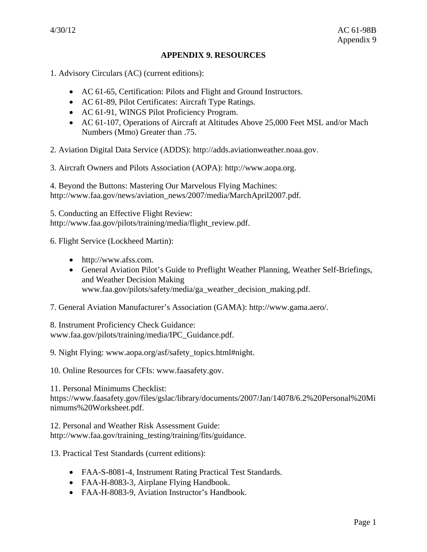#### **APPENDIX 9. RESOURCES**

1. Advisory Circulars (AC) (current editions):

- AC 61-65, Certification: Pilots and Flight and Ground Instructors.
- AC 61-89, Pilot Certificates: Aircraft Type Ratings.
- AC 61-91, WINGS Pilot Proficiency Program.
- AC 61-107, Operations of Aircraft at Altitudes Above 25,000 Feet MSL and/or Mach Numbers (Mmo) Greater than .75.

2. Aviation Digital Data Service (ADDS): http://adds.aviationweather.noaa.gov.

3. Aircraft Owners and Pilots Association (AOPA): http://www.aopa.org.

4. Beyond the Buttons: Mastering Our Marvelous Flying Machines: http://www.faa.gov/news/aviation\_news/2007/media/MarchApril2007.pdf.

5. Conducting an Effective Flight Review: http://www.faa.gov/pilots/training/media/flight\_review.pdf.

6. Flight Service (Lockheed Martin):

- http://www.afss.com.
- General Aviation Pilot's Guide to Preflight Weather Planning, Weather Self-Briefings, and Weather Decision Making www.faa.gov/pilots/safety/media/ga\_weather\_decision\_making.pdf.
- 7. General Aviation Manufacturer's Association (GAMA): http://www.gama.aero/.

8. Instrument Proficiency Check Guidance: www.faa.gov/pilots/training/media/IPC\_Guidance.pdf.

9. Night Flying: www.aopa.org/asf/safety\_topics.html#night.

10. Online Resources for CFIs: www.faasafety.gov.

11. Personal Minimums Checklist: https://www.faasafety.gov/files/gslac/library/documents/2007/Jan/14078/6.2%20Personal%20Mi nimums%20Worksheet.pdf.

12. Personal and Weather Risk Assessment Guide: http://www.faa.gov/training\_testing/training/fits/guidance.

13. Practical Test Standards (current editions):

- FAA-S-8081-4, Instrument Rating Practical Test Standards.
- FAA-H-8083-3, Airplane Flying Handbook.
- FAA-H-8083-9, Aviation Instructor's Handbook.